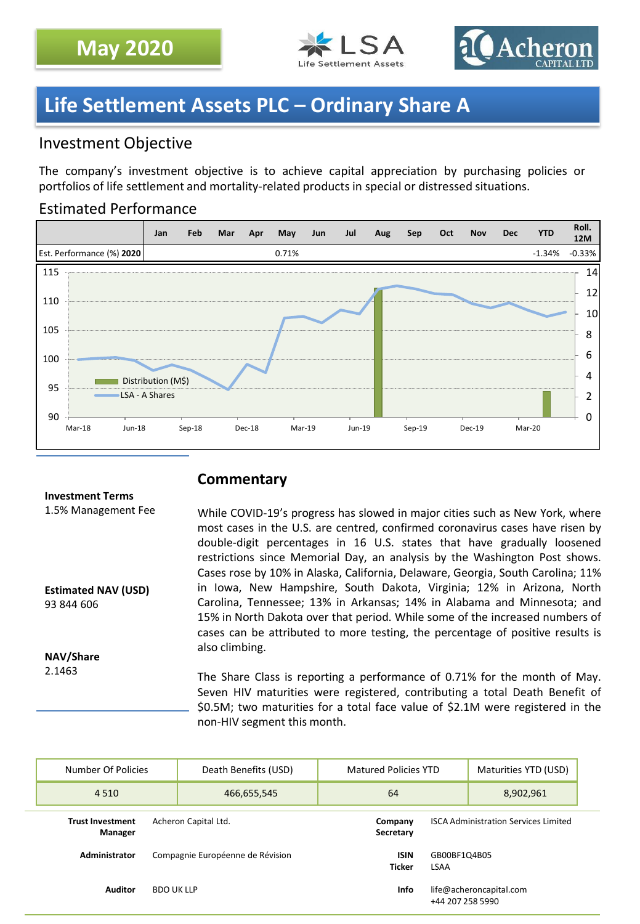



# **Life Settlement Assets PLC – Ordinary Share A**

## Investment Objective

The company's investment objective is to achieve capital appreciation by purchasing policies or portfolios of life settlement and mortality-related products in special or distressed situations.

## Estimated Performance



### **Commentary**

### **Investment Terms** 1.5% Management Fee

**Estimated NAV (USD)** 93 844 606

**NAV/Share** 2.1463

While COVID-19's progress has slowed in major cities such as New York, where most cases in the U.S. are centred, confirmed coronavirus cases have risen by double-digit percentages in 16 U.S. states that have gradually loosened restrictions since Memorial Day, an analysis by the Washington Post shows. Cases rose by 10% in Alaska, California, Delaware, Georgia, South Carolina; 11% in Iowa, New Hampshire, South Dakota, Virginia; 12% in Arizona, North Carolina, Tennessee; 13% in Arkansas; 14% in Alabama and Minnesota; and 15% in North Dakota over that period. While some of the increased numbers of cases can be attributed to more testing, the percentage of positive results is also climbing.

The Share Class is reporting a performance of 0.71% for the month of May. Seven HIV maturities were registered, contributing a total Death Benefit of \$0.5M; two maturities for a total face value of \$2.1M were registered in the non-HIV segment this month.

|                | Number Of Policies                                         |  | Death Benefits (USD)             | <b>Matured Policies YTD</b>  |                                             | Maturities YTD (USD) |  |
|----------------|------------------------------------------------------------|--|----------------------------------|------------------------------|---------------------------------------------|----------------------|--|
|                | 4 5 1 0                                                    |  | 466,655,545                      | 64                           |                                             | 8,902,961            |  |
|                | Acheron Capital Ltd.<br><b>Trust Investment</b><br>Manager |  |                                  | Company<br>Secretary         | <b>ISCA Administration Services Limited</b> |                      |  |
|                | Administrator                                              |  | Compagnie Européenne de Révision | <b>ISIN</b><br><b>Ticker</b> | GB00BF1Q4B05<br>LSAA                        |                      |  |
| <b>Auditor</b> |                                                            |  | <b>BDO UK LLP</b>                | Info                         | life@acheroncapital.com<br>+44 207 258 5990 |                      |  |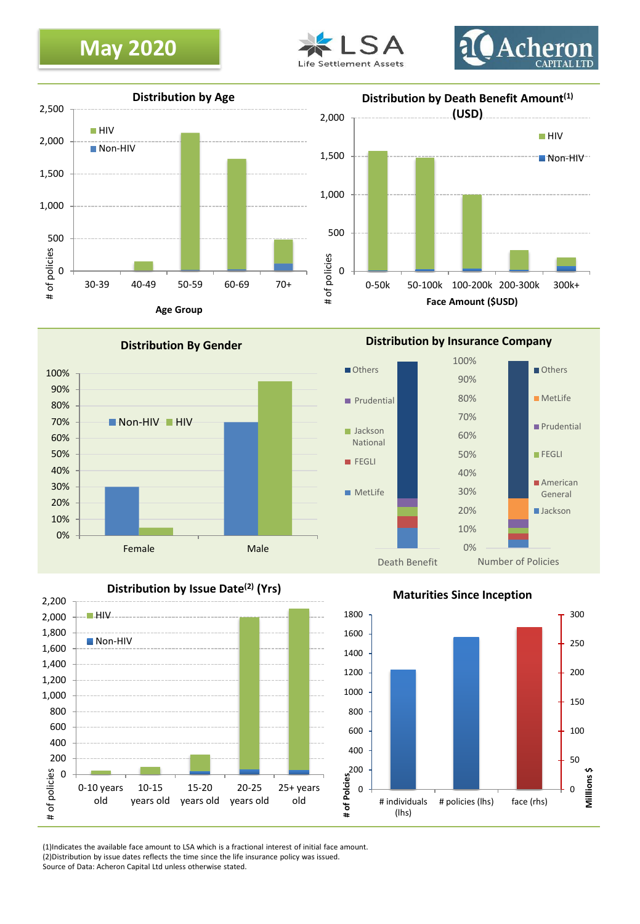# **May 2020**





 $\blacksquare$ HIV



0% 10% 20% 30% 40% 50% 60% 70% 80% 90% 100% Female Male **Distribution By Gender** Non-HIV HIV



**Maturities Since Inception**



(1)Indicates the available face amount to LSA which is a fractional interest of initial face amount. (2)Distribution by issue dates reflects the time since the life insurance policy was issued. Source of Data: Acheron Capital Ltd unless otherwise stated.

**Distribution by Insurance Company**